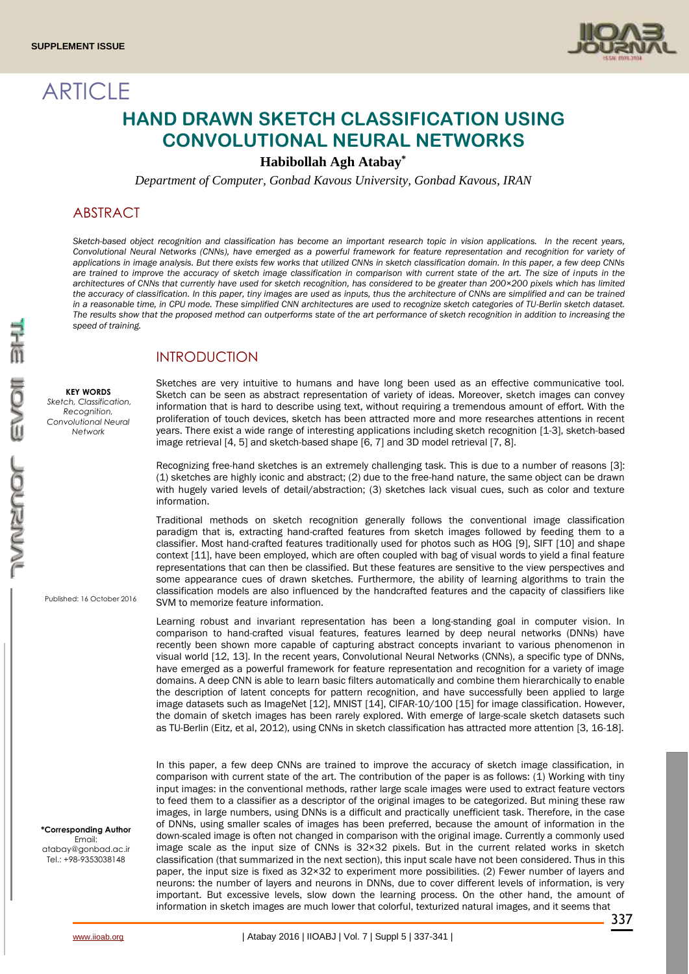**ARTICLE** 



# **HAND DRAWN SKETCH CLASSIFICATION USING CONVOLUTIONAL NEURAL NETWORKS**

**Habibollah Agh Atabay\***

*Department of Computer, Gonbad Kavous University, Gonbad Kavous, IRAN*

# **ABSTRACT**

*Sketch-based object recognition and classification has become an important research topic in vision applications. In the recent years, Convolutional Neural Networks (CNNs), have emerged as a powerful framework for feature representation and recognition for variety of applications in image analysis. But there exists few works that utilized CNNs in sketch classification domain. In this paper, a few deep CNNs*  are trained to improve the accuracy of sketch image classification in comparison with current state of the art. The size of inputs in the *architectures of CNNs that currently have used for sketch recognition, has considered to be greater than 200×200 pixels which has limited the accuracy of classification. In this paper, tiny images are used as inputs, thus the architecture of CNNs are simplified and can be trained in a reasonable time, in CPU mode. These simplified CNN architectures are used to recognize sketch categories of TU-Berlin sketch dataset. The results show that the proposed method can outperforms state of the art performance of sketch recognition in addition to increasing the speed of training.*

# INTRODUCTION

**KEY WORDS** *Sketch, Classification, Recognition, Convolutional Neural Network*

Sketches are very intuitive to humans and have long been used as an effective communicative tool. Sketch can be seen as abstract representation of variety of ideas. Moreover, sketch images can convey information that is hard to describe using text, without requiring a tremendous amount of effort. With the proliferation of touch devices, sketch has been attracted more and more researches attentions in recent years. There exist a wide range of interesting applications including sketch recognition [1-3], sketch-based image retrieval [4, 5] and sketch-based shape [6, 7] and 3D model retrieval [7, 8].

Recognizing free-hand sketches is an extremely challenging task. This is due to a number of reasons [3]: (1) sketches are highly iconic and abstract; (2) due to the free-hand nature, the same object can be drawn with hugely varied levels of detail/abstraction; (3) sketches lack visual cues, such as color and texture information.

Traditional methods on sketch recognition generally follows the conventional image classification paradigm that is, extracting hand-crafted features from sketch images followed by feeding them to a classifier. Most hand-crafted features traditionally used for photos such as HOG [9], SIFT [10] and shape context [11], have been employed, which are often coupled with bag of visual words to yield a final feature representations that can then be classified. But these features are sensitive to the view perspectives and some appearance cues of drawn sketches. Furthermore, the ability of learning algorithms to train the classification models are also influenced by the handcrafted features and the capacity of classifiers like SVM to memorize feature information.

Learning robust and invariant representation has been a long-standing goal in computer vision. In comparison to hand-crafted visual features, features learned by deep neural networks (DNNs) have recently been shown more capable of capturing abstract concepts invariant to various phenomenon in visual world [12, 13]. In the recent years, Convolutional Neural Networks (CNNs), a specific type of DNNs, have emerged as a powerful framework for feature representation and recognition for a variety of image domains. A deep CNN is able to learn basic filters automatically and combine them hierarchically to enable the description of latent concepts for pattern recognition, and have successfully been applied to large image datasets such as ImageNet [12], MNIST [14], CIFAR-10/100 [15] for image classification. However, the domain of sketch images has been rarely explored. With emerge of large-scale sketch datasets such as TU-Berlin (Eitz, et al, 2012), using CNNs in sketch classification has attracted more attention [3, 16-18].

In this paper, a few deep CNNs are trained to improve the accuracy of sketch image classification, in comparison with current state of the art. The contribution of the paper is as follows: (1) Working with tiny input images: in the conventional methods, rather large scale images were used to extract feature vectors to feed them to a classifier as a descriptor of the original images to be categorized. But mining these raw images, in large numbers, using DNNs is a difficult and practically unefficient task. Therefore, in the case of DNNs, using smaller scales of images has been preferred, because the amount of information in the down-scaled image is often not changed in comparison with the original image. Currently a commonly used image scale as the input size of CNNs is  $32 \times 32$  pixels. But in the current related works in sketch classification (that summarized in the next section), this input scale have not been considered. Thus in this paper, the input size is fixed as 32×32 to experiment more possibilities. (2) Fewer number of layers and neurons: the number of layers and neurons in DNNs, due to cover different levels of information, is very important. But excessive levels, slow down the learning process. On the other hand, the amount of information in sketch images are much lower that colorful, texturized natural images, and it seems that

Published: 16 October 2016

**\*Corresponding Author** Email: atabay@gonbad.ac.ir Tel: +98-9353038148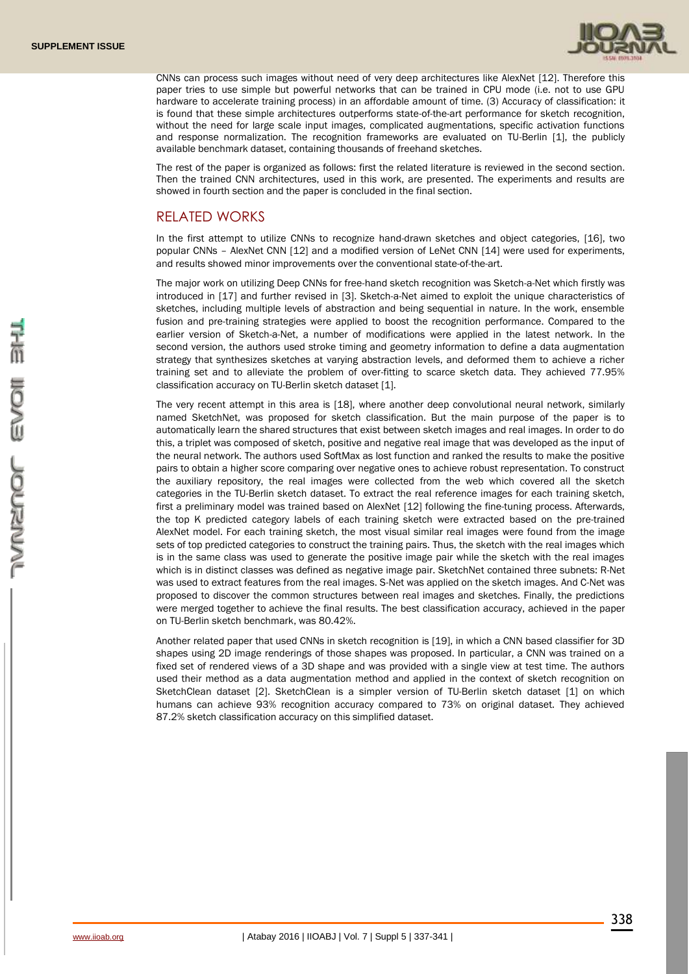

CNNs can process such images without need of very deep architectures like AlexNet [12]. Therefore this paper tries to use simple but powerful networks that can be trained in CPU mode (i.e. not to use GPU hardware to accelerate training process) in an affordable amount of time. (3) Accuracy of classification: it is found that these simple architectures outperforms state-of-the-art performance for sketch recognition, without the need for large scale input images, complicated augmentations, specific activation functions and response normalization. The recognition frameworks are evaluated on TU-Berlin [1], the publicly available benchmark dataset, containing thousands of freehand sketches.

The rest of the paper is organized as follows: first the related literature is reviewed in the second section. Then the trained CNN architectures, used in this work, are presented. The experiments and results are showed in fourth section and the paper is concluded in the final section.

### RELATED WORKS

In the first attempt to utilize CNNs to recognize hand-drawn sketches and object categories, [16], two popular CNNs – AlexNet CNN [12] and a modified version of LeNet CNN [14] were used for experiments, and results showed minor improvements over the conventional state-of-the-art.

The major work on utilizing Deep CNNs for free-hand sketch recognition was Sketch-a-Net which firstly was introduced in [17] and further revised in [3]. Sketch-a-Net aimed to exploit the unique characteristics of sketches, including multiple levels of abstraction and being sequential in nature. In the work, ensemble fusion and pre-training strategies were applied to boost the recognition performance. Compared to the earlier version of Sketch-a-Net, a number of modifications were applied in the latest network. In the second version, the authors used stroke timing and geometry information to define a data augmentation strategy that synthesizes sketches at varying abstraction levels, and deformed them to achieve a richer training set and to alleviate the problem of over-fitting to scarce sketch data. They achieved 77.95% classification accuracy on TU-Berlin sketch dataset [1].

The very recent attempt in this area is [18], where another deep convolutional neural network, similarly named SketchNet, was proposed for sketch classification. But the main purpose of the paper is to automatically learn the shared structures that exist between sketch images and real images. In order to do this, a triplet was composed of sketch, positive and negative real image that was developed as the input of the neural network. The authors used SoftMax as lost function and ranked the results to make the positive pairs to obtain a higher score comparing over negative ones to achieve robust representation. To construct the auxiliary repository, the real images were collected from the web which covered all the sketch categories in the TU-Berlin sketch dataset. To extract the real reference images for each training sketch, first a preliminary model was trained based on AlexNet [12] following the fine-tuning process. Afterwards, the top K predicted category labels of each training sketch were extracted based on the pre-trained AlexNet model. For each training sketch, the most visual similar real images were found from the image sets of top predicted categories to construct the training pairs. Thus, the sketch with the real images which is in the same class was used to generate the positive image pair while the sketch with the real images which is in distinct classes was defined as negative image pair. SketchNet contained three subnets: R-Net was used to extract features from the real images. S-Net was applied on the sketch images. And C-Net was proposed to discover the common structures between real images and sketches. Finally, the predictions were merged together to achieve the final results. The best classification accuracy, achieved in the paper on TU-Berlin sketch benchmark, was 80.42%.

Another related paper that used CNNs in sketch recognition is [19], in which a CNN based classifier for 3D shapes using 2D image renderings of those shapes was proposed. In particular, a CNN was trained on a fixed set of rendered views of a 3D shape and was provided with a single view at test time. The authors used their method as a data augmentation method and applied in the context of sketch recognition on SketchClean dataset [2]. SketchClean is a simpler version of TU-Berlin sketch dataset [1] on which humans can achieve 93% recognition accuracy compared to 73% on original dataset. They achieved 87.2% sketch classification accuracy on this simplified dataset.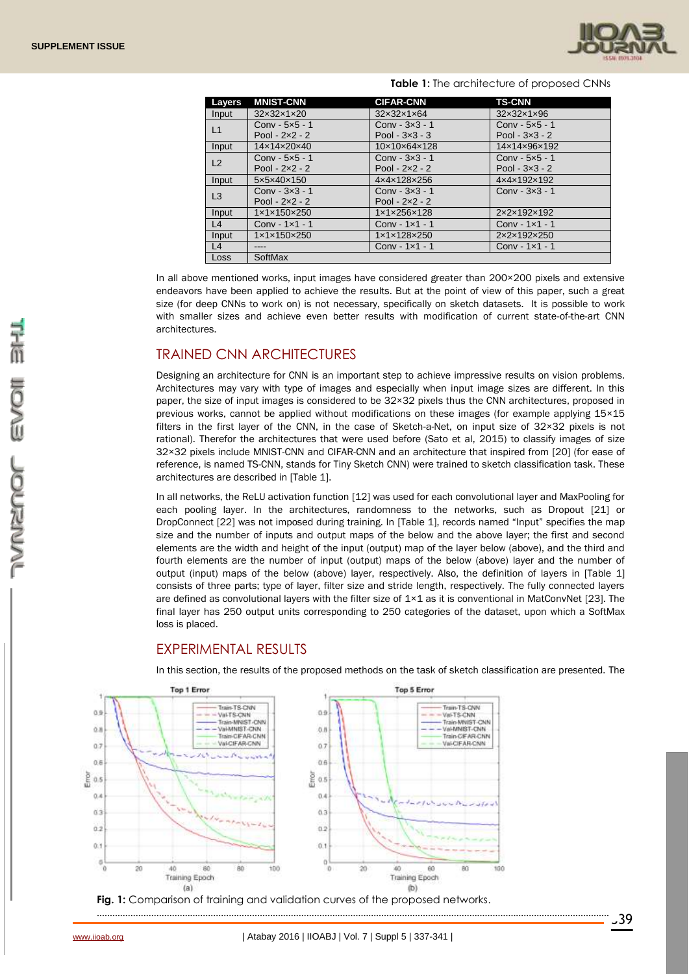

| Layers         | <b>MNIST-CNN</b>                   | <b>CIFAR-CNN</b>                   | <b>TS-CNN</b>                      |
|----------------|------------------------------------|------------------------------------|------------------------------------|
| Input          | 32×32×1×20                         | 32×32×1×64                         | 32×32×1×96                         |
| L1             | $Conv - 5x5 - 1$                   | $Conv - 3x3 - 1$                   | $Conv - 5x5 - 1$                   |
|                | Pool $-2x^2-2$                     | Pool $-3x3 - 3$                    | Pool - $3\times3$ - 2              |
| Input          | $14 \times 14 \times 20 \times 40$ | $10\times10\times64\times128$      | 14x14x96x192                       |
| L2             | Conv $-5x5 - 1$                    | $Conv - 3x3 - 1$                   | Conv $-5x5 - 1$                    |
|                | Pool - $2 \times 2 - 2$            | Pool - $2 \times 2 - 2$            | Pool $-3x3 - 2$                    |
| Input          | 5x5x40x150                         | 4x4x128x256                        | 4x4x192x192                        |
| L <sub>3</sub> | Conv $-3x3 - 1$                    | $Conv - 3x3 - 1$                   | $Conv - 3x3 - 1$                   |
|                | Pool $-2x^2-2$                     | Pool $-2x^2-2$                     |                                    |
| Input          | $1 \times 1 \times 150 \times 250$ | $1 \times 1 \times 256 \times 128$ | 2x2x192x192                        |
| L4             | Conv - $1 \times 1 - 1$            | Conv - $1 \times 1 - 1$            | Conv - $1 \times 1$ - 1            |
| Input          | $1 \times 1 \times 150 \times 250$ | 1×1×128×250                        | $2 \times 2 \times 192 \times 250$ |
| L4             | ----                               | Conv - $1 \times 1 - 1$            | Conv - 1×1 - 1                     |
| Loss           | SoftMax                            |                                    |                                    |

#### **Table 1:** The architecture of proposed CNNs

In all above mentioned works, input images have considered greater than 200×200 pixels and extensive endeavors have been applied to achieve the results. But at the point of view of this paper, such a great size (for deep CNNs to work on) is not necessary, specifically on sketch datasets. It is possible to work with smaller sizes and achieve even better results with modification of current state-of-the-art CNN architectures.

### TRAINED CNN ARCHITECTURES

Designing an architecture for CNN is an important step to achieve impressive results on vision problems. Architectures may vary with type of images and especially when input image sizes are different. In this paper, the size of input images is considered to be 32×32 pixels thus the CNN architectures, proposed in previous works, cannot be applied without modifications on these images (for example applying 15×15 filters in the first layer of the CNN, in the case of Sketch-a-Net, on input size of 32×32 pixels is not rational). Therefor the architectures that were used before (Sato et al, 2015) to classify images of size 32×32 pixels include MNIST-CNN and CIFAR-CNN and an architecture that inspired from [20] (for ease of reference, is named TS-CNN, stands for Tiny Sketch CNN) were trained to sketch classification task. These architectures are described in [Table 1].

In all networks, the ReLU activation function [12] was used for each convolutional layer and MaxPooling for each pooling layer. In the architectures, randomness to the networks, such as Dropout [21] or DropConnect [22] was not imposed during training. In [Table 1], records named "Input" specifies the map size and the number of inputs and output maps of the below and the above layer; the first and second elements are the width and height of the input (output) map of the layer below (above), and the third and fourth elements are the number of input (output) maps of the below (above) layer and the number of output (input) maps of the below (above) layer, respectively. Also, the definition of layers in [Table 1] consists of three parts; type of layer, filter size and stride length, respectively. The fully connected layers are defined as convolutional layers with the filter size of 1×1 as it is conventional in MatConvNet [23]. The final layer has 250 output units corresponding to 250 categories of the dataset, upon which a SoftMax loss is placed.

# EXPERIMENTAL RESULTS



In this section, the results of the proposed methods on the task of sketch classification are presented. The

Fig. 1: Comparison of training and validation curves of the proposed networks.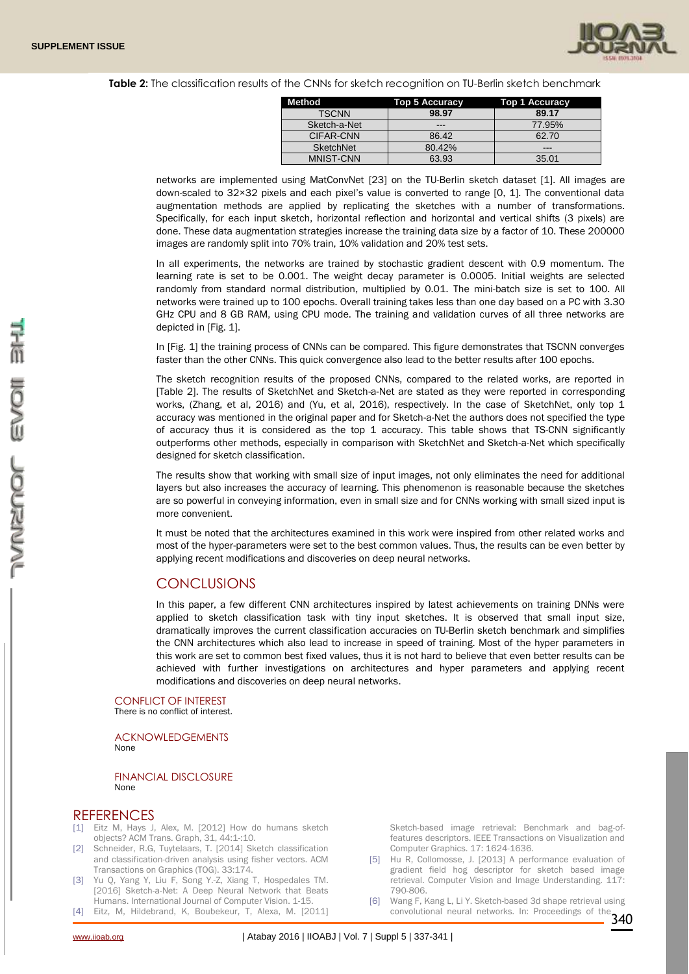

#### **Table 2:** The classification results of the CNNs for sketch recognition on TU-Berlin sketch benchmark

| Method           | Top 5 Accuracy | <b>Top 1 Accuracy</b> |
|------------------|----------------|-----------------------|
| <b>TSCNN</b>     | 98.97          | 89.17                 |
| Sketch-a-Net     | ---            | 77.95%                |
| CIFAR-CNN        | 86.42          | 62.70                 |
| SketchNet        | 80.42%         | ---                   |
| <b>MNIST-CNN</b> | 63.93          | 35.01                 |

networks are implemented using MatConvNet [23] on the TU-Berlin sketch dataset [1]. All images are down-scaled to 32×32 pixels and each pixel's value is converted to range [0, 1]. The conventional data augmentation methods are applied by replicating the sketches with a number of transformations. Specifically, for each input sketch, horizontal reflection and horizontal and vertical shifts (3 pixels) are done. These data augmentation strategies increase the training data size by a factor of 10. These 200000 images are randomly split into 70% train, 10% validation and 20% test sets.

In all experiments, the networks are trained by stochastic gradient descent with 0.9 momentum. The learning rate is set to be 0.001. The weight decay parameter is 0.0005. Initial weights are selected randomly from standard normal distribution, multiplied by 0.01. The mini-batch size is set to 100. All networks were trained up to 100 epochs. Overall training takes less than one day based on a PC with 3.30 GHz CPU and 8 GB RAM, using CPU mode. The training and validation curves of all three networks are depicted in [Fig. 1].

In [Fig. 1] the training process of CNNs can be compared. This figure demonstrates that TSCNN converges faster than the other CNNs. This quick convergence also lead to the better results after 100 epochs.

The sketch recognition results of the proposed CNNs, compared to the related works, are reported in [Table 2]. The results of SketchNet and Sketch-a-Net are stated as they were reported in corresponding works, (Zhang, et al, 2016) and (Yu, et al, 2016), respectively. In the case of SketchNet, only top 1 accuracy was mentioned in the original paper and for Sketch-a-Net the authors does not specified the type of accuracy thus it is considered as the top 1 accuracy. This table shows that TS-CNN significantly outperforms other methods, especially in comparison with SketchNet and Sketch-a-Net which specifically designed for sketch classification.

The results show that working with small size of input images, not only eliminates the need for additional layers but also increases the accuracy of learning. This phenomenon is reasonable because the sketches are so powerful in conveying information, even in small size and for CNNs working with small sized input is more convenient.

It must be noted that the architectures examined in this work were inspired from other related works and most of the hyper-parameters were set to the best common values. Thus, the results can be even better by applying recent modifications and discoveries on deep neural networks.

#### **CONCLUSIONS**

In this paper, a few different CNN architectures inspired by latest achievements on training DNNs were applied to sketch classification task with tiny input sketches. It is observed that small input size, dramatically improves the current classification accuracies on TU-Berlin sketch benchmark and simplifies the CNN architectures which also lead to increase in speed of training. Most of the hyper parameters in this work are set to common best fixed values, thus it is not hard to believe that even better results can be achieved with further investigations on architectures and hyper parameters and applying recent modifications and discoveries on deep neural networks.

#### CONFLICT OF INTEREST

There is no conflict of interest.

ACKNOWLEDGEMENTS None

FINANCIAL DISCLOSURE None

#### **REFERENCES**

- [1] Eitz M, Hays J, Alex, M. [2012] How do humans sketch objects? ACM Trans. Graph, 31, 44:1-:10.
- [2] Schneider, R.G, Tuytelaars, T. [2014] Sketch classification and classification-driven analysis using fisher vectors. ACM Transactions on Graphics (TOG). 33:174.
- [3] Yu Q, Yang Y, Liu F, Song Y.-Z, Xiang T, Hospedales TM. [2016] Sketch-a-Net: A Deep Neural Network that Beats Humans. International Journal of Computer Vision. 1-15.
- [4] Eitz, M, Hildebrand, K, Boubekeur, T, Alexa, M. [2011]

**DESCRIPTION** 

EVOI

Sketch-based image retrieval: Benchmark and bag-offeatures descriptors. IEEE Transactions on Visualization and Computer Graphics. 17: 1624-1636.

- [5] Hu R, Collomosse, J. [2013] A performance evaluation of gradient field hog descriptor for sketch based image retrieval. Computer Vision and Image Understanding. 117: 790-806.
- 340 convolutional neural networks. In: Proceedings of the [6] Wang F, Kang L, Li Y. Sketch-based 3d shape retrieval using